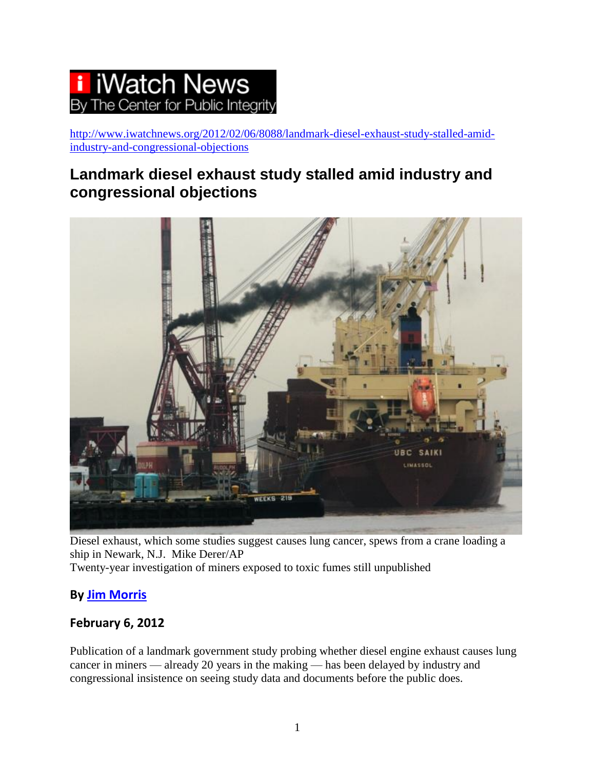# **IWatch News** he Center for Public Integrity

[http://www.iwatchnews.org/2012/02/06/8088/landmark-diesel-exhaust-study-stalled-amid](http://www.iwatchnews.org/2012/02/06/8088/landmark-diesel-exhaust-study-stalled-amid-industry-and-congressional-objections)[industry-and-congressional-objections](http://www.iwatchnews.org/2012/02/06/8088/landmark-diesel-exhaust-study-stalled-amid-industry-and-congressional-objections)

# **Landmark diesel exhaust study stalled amid industry and congressional objections**



Diesel exhaust, which some studies suggest causes lung cancer, spews from a crane loading a ship in Newark, N.J. Mike Derer/AP

Twenty-year investigation of miners exposed to toxic fumes still unpublished

### **By [Jim Morris](http://www.iwatchnews.org/authors/jim-morris)**

### **February 6, 2012**

Publication of a landmark government study probing whether diesel engine exhaust causes lung cancer in miners — already 20 years in the making — has been delayed by industry and congressional insistence on seeing study data and documents before the public does.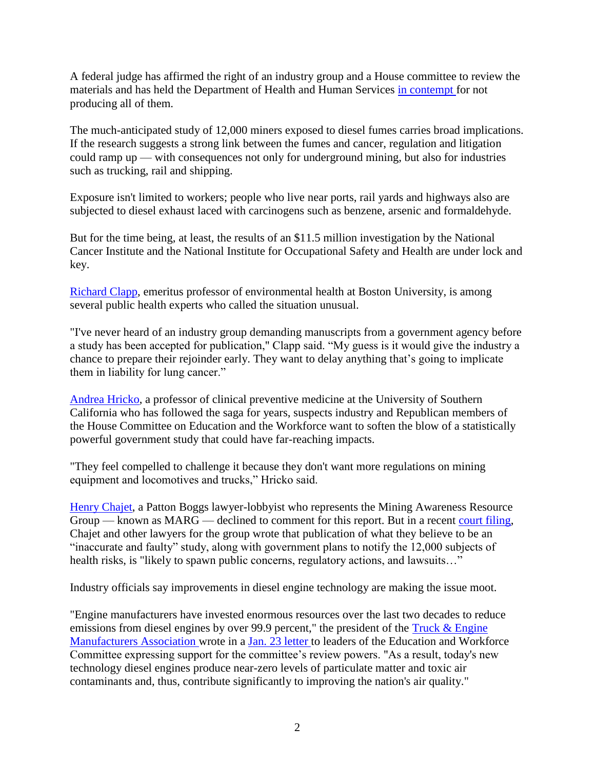A federal judge has affirmed the right of an industry group and a House committee to review the materials and has held the Department of Health and Human Services [in contempt f](https://www.documentcloud.org/documents/289170-2011-contempt-order.html)or not producing all of them.

The much-anticipated study of 12,000 miners exposed to diesel fumes carries broad implications. If the research suggests a strong link between the fumes and cancer, regulation and litigation could ramp up — with consequences not only for underground mining, but also for industries such as trucking, rail and shipping.

Exposure isn't limited to workers; people who live near ports, rail yards and highways also are subjected to diesel exhaust laced with carcinogens such as benzene, arsenic and formaldehyde.

But for the time being, at least, the results of an \$11.5 million investigation by the National Cancer Institute and the National Institute for Occupational Safety and Health are under lock and key.

[Richard Clapp,](http://www.bu.edu/phpbin/africa/profiles/app/details.php?id=25) emeritus professor of environmental health at Boston University, is among several public health experts who called the situation unusual.

"I've never heard of an industry group demanding manuscripts from a government agency before a study has been accepted for publication," Clapp said. "My guess is it would give the industry a chance to prepare their rejoinder early. They want to delay anything that's going to implicate them in liability for lung cancer."

[Andrea Hricko,](http://keck.usc.edu/Education/Academic_Department_and_Divisions/Department_of_Preventive_Medicine/Divisions/Environmental_Health/Faculty.aspx?facid=483) a professor of clinical preventive medicine at the University of Southern California who has followed the saga for years, suspects industry and Republican members of the House Committee on Education and the Workforce want to soften the blow of a statistically powerful government study that could have far-reaching impacts.

"They feel compelled to challenge it because they don't want more regulations on mining equipment and locomotives and trucks," Hricko said.

[Henry Chajet,](http://www.pattonboggs.com/hchajet/) a Patton Boggs lawyer-lobbyist who represents the Mining Awareness Resource Group — known as MARG — declined to comment for this report. But in a recent [court filing,](https://www.documentcloud.org/documents/289175-industry-brief.html) Chajet and other lawyers for the group wrote that publication of what they believe to be an "inaccurate and faulty" study, along with government plans to notify the 12,000 subjects of health risks, is "likely to spawn public concerns, regulatory actions, and lawsuits…"

Industry officials say improvements in diesel engine technology are making the issue moot.

"Engine manufacturers have invested enormous resources over the last two decades to reduce emissions from diesel engines by over 99.9 percent," the president of the Truck & Engine [Manufacturers Association w](http://www.truckandenginemanufacturers.org/)rote in a [Jan. 23 letter t](https://www.documentcloud.org/documents/289171-engine-manufacturers-letter-to-house-committee.html)o leaders of the Education and Workforce Committee expressing support for the committee's review powers. "As a result, today's new technology diesel engines produce near-zero levels of particulate matter and toxic air contaminants and, thus, contribute significantly to improving the nation's air quality."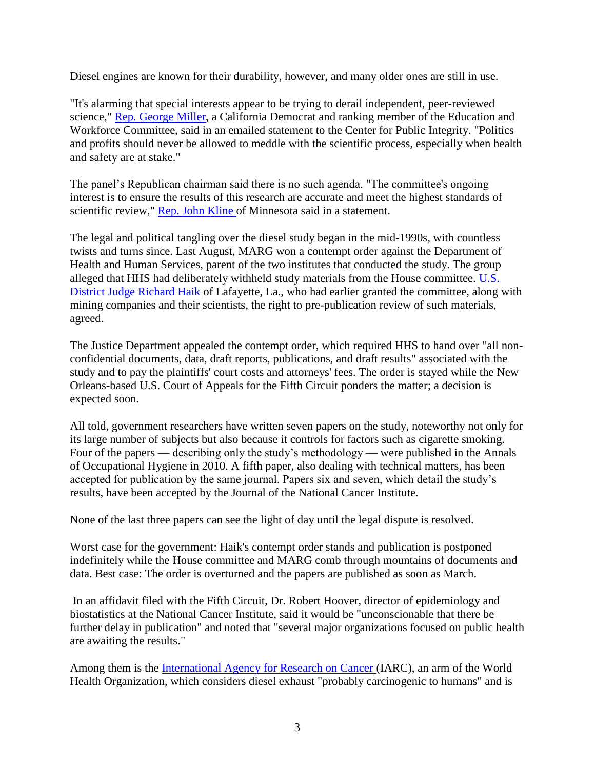Diesel engines are known for their durability, however, and many older ones are still in use.

"It's alarming that special interests appear to be trying to derail independent, peer-reviewed science," [Rep. George Miller,](http://georgemiller.house.gov/) a California Democrat and ranking member of the Education and Workforce Committee, said in an emailed statement to the Center for Public Integrity. "Politics and profits should never be allowed to meddle with the scientific process, especially when health and safety are at stake."

The panel's Republican chairman said there is no such agenda. "The committee's ongoing interest is to ensure the results of this research are accurate and meet the highest standards of scientific review," [Rep. John Kline o](http://kline.house.gov/)f Minnesota said in a statement.

The legal and political tangling over the diesel study began in the mid-1990s, with countless twists and turns since. Last August, MARG won a contempt order against the Department of Health and Human Services, parent of the two institutes that conducted the study. The group alleged that HHS had deliberately withheld study materials from the House committee. [U.S.](http://www.fjc.gov/servlet/nGetInfo?jid=941&cid=999&ctype=na&instate=na)  [District Judge Richard Haik o](http://www.fjc.gov/servlet/nGetInfo?jid=941&cid=999&ctype=na&instate=na)f Lafayette, La., who had earlier granted the committee, along with mining companies and their scientists, the right to pre-publication review of such materials, agreed.

The Justice Department appealed the contempt order, which required HHS to hand over "all nonconfidential documents, data, draft reports, publications, and draft results" associated with the study and to pay the plaintiffs' court costs and attorneys' fees. The order is stayed while the New Orleans-based U.S. Court of Appeals for the Fifth Circuit ponders the matter; a decision is expected soon.

All told, government researchers have written seven papers on the study, noteworthy not only for its large number of subjects but also because it controls for factors such as cigarette smoking. Four of the papers — describing only the study's methodology — were published in the Annals of Occupational Hygiene in 2010. A fifth paper, also dealing with technical matters, has been accepted for publication by the same journal. Papers six and seven, which detail the study's results, have been accepted by the Journal of the National Cancer Institute.

None of the last three papers can see the light of day until the legal dispute is resolved.

Worst case for the government: Haik's contempt order stands and publication is postponed indefinitely while the House committee and MARG comb through mountains of documents and data. Best case: The order is overturned and the papers are published as soon as March.

In an affidavit filed with the Fifth Circuit, Dr. Robert Hoover, director of epidemiology and biostatistics at the National Cancer Institute, said it would be "unconscionable that there be further delay in publication" and noted that "several major organizations focused on public health are awaiting the results."

Among them is the [International Agency for Research on Cancer \(](http://www.iarc.fr/)IARC), an arm of the World Health Organization, which considers diesel exhaust "probably carcinogenic to humans" and is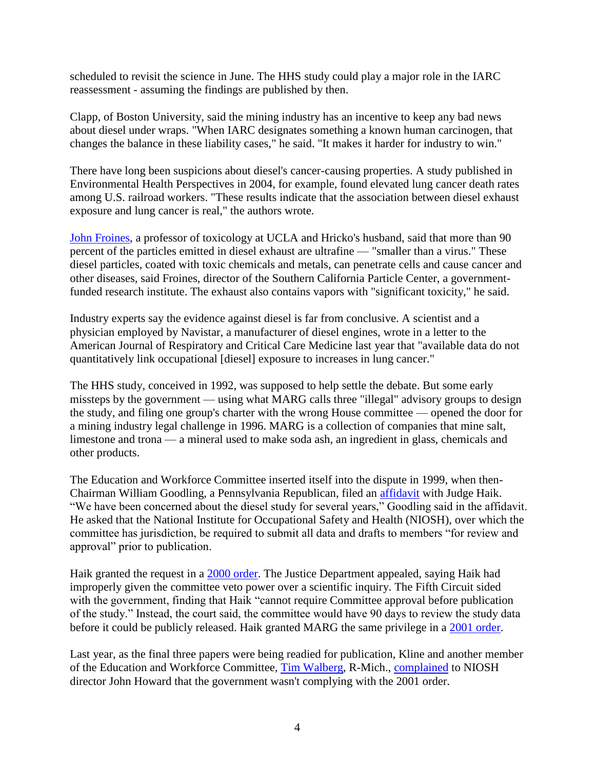scheduled to revisit the science in June. The HHS study could play a major role in the IARC reassessment - assuming the findings are published by then.

Clapp, of Boston University, said the mining industry has an incentive to keep any bad news about diesel under wraps. "When IARC designates something a known human carcinogen, that changes the balance in these liability cases," he said. "It makes it harder for industry to win."

There have long been suspicions about diesel's cancer-causing properties. A study published in Environmental Health Perspectives in 2004, for example, found elevated lung cancer death rates among U.S. railroad workers. "These results indicate that the association between diesel exhaust exposure and lung cancer is real," the authors wrote.

[John Froines,](http://portal.ctrl.ucla.edu/sph/institution/personnel?personnel_id=45492) a professor of toxicology at UCLA and Hricko's husband, said that more than 90 percent of the particles emitted in diesel exhaust are ultrafine — "smaller than a virus." These diesel particles, coated with toxic chemicals and metals, can penetrate cells and cause cancer and other diseases, said Froines, director of the Southern California Particle Center, a governmentfunded research institute. The exhaust also contains vapors with "significant toxicity," he said.

Industry experts say the evidence against diesel is far from conclusive. A scientist and a physician employed by Navistar, a manufacturer of diesel engines, wrote in a letter to the American Journal of Respiratory and Critical Care Medicine last year that "available data do not quantitatively link occupational [diesel] exposure to increases in lung cancer."

The HHS study, conceived in 1992, was supposed to help settle the debate. But some early missteps by the government — using what MARG calls three "illegal" advisory groups to design the study, and filing one group's charter with the wrong House committee — opened the door for a mining industry legal challenge in 1996. MARG is a collection of companies that mine salt, limestone and trona — a mineral used to make soda ash, an ingredient in glass, chemicals and other products.

The Education and Workforce Committee inserted itself into the dispute in 1999, when then-Chairman William Goodling, a Pennsylvania Republican, filed an [affidavit](https://www.documentcloud.org/documents/289172-goodling-affidavit.html) with Judge Haik. "We have been concerned about the diesel study for several years," Goodling said in the affidavit. He asked that the National Institute for Occupational Safety and Health (NIOSH), over which the committee has jurisdiction, be required to submit all data and drafts to members "for review and approval" prior to publication.

Haik granted the request in a [2000 order.](https://www.documentcloud.org/documents/289168-2000-haik-order.html) The Justice Department appealed, saying Haik had improperly given the committee veto power over a scientific inquiry. The Fifth Circuit sided with the government, finding that Haik "cannot require Committee approval before publication of the study." Instead, the court said, the committee would have 90 days to review the study data before it could be publicly released. Haik granted MARG the same privilege in a [2001 order.](https://www.documentcloud.org/documents/289169-2001-haik-order.html)

Last year, as the final three papers were being readied for publication, Kline and another member of the Education and Workforce Committee, [Tim Walberg,](http://walberg.house.gov/) R-Mich., [complained](https://www.documentcloud.org/documents/289176-kline-walberg-letter-to-niosh.html) to NIOSH director John Howard that the government wasn't complying with the 2001 order.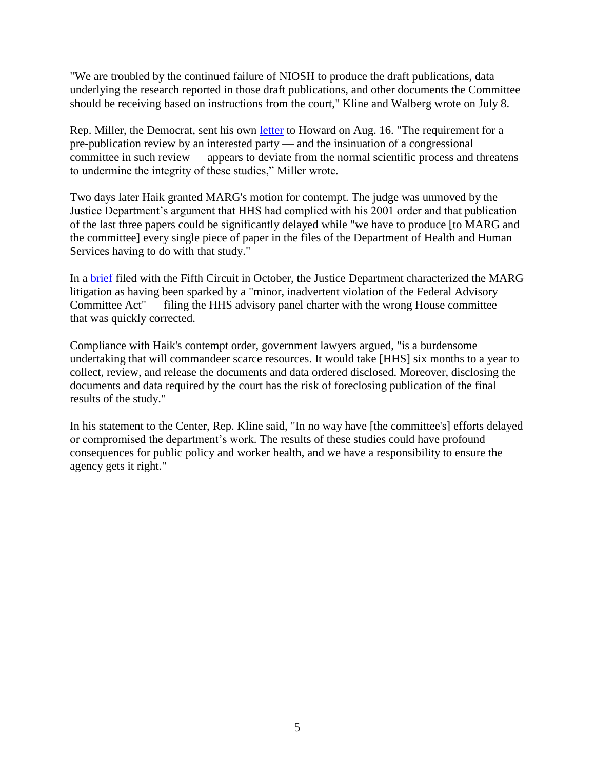"We are troubled by the continued failure of NIOSH to produce the draft publications, data underlying the research reported in those draft publications, and other documents the Committee should be receiving based on instructions from the court," Kline and Walberg wrote on July 8.

Rep. Miller, the Democrat, sent his own [letter](https://www.documentcloud.org/documents/289177-miller-letter-to-niosh.html) to Howard on Aug. 16. "The requirement for a pre-publication review by an interested party — and the insinuation of a congressional committee in such review — appears to deviate from the normal scientific process and threatens to undermine the integrity of these studies," Miller wrote.

Two days later Haik granted MARG's motion for contempt. The judge was unmoved by the Justice Department's argument that HHS had complied with his 2001 order and that publication of the last three papers could be significantly delayed while "we have to produce [to MARG and the committee] every single piece of paper in the files of the Department of Health and Human Services having to do with that study."

In a [brief](https://www.documentcloud.org/documents/289174-government-brief.html) filed with the Fifth Circuit in October, the Justice Department characterized the MARG litigation as having been sparked by a "minor, inadvertent violation of the Federal Advisory Committee Act" — filing the HHS advisory panel charter with the wrong House committee that was quickly corrected.

Compliance with Haik's contempt order, government lawyers argued, "is a burdensome undertaking that will commandeer scarce resources. It would take [HHS] six months to a year to collect, review, and release the documents and data ordered disclosed. Moreover, disclosing the documents and data required by the court has the risk of foreclosing publication of the final results of the study."

In his statement to the Center, Rep. Kline said, "In no way have [the committee's] efforts delayed or compromised the department's work. The results of these studies could have profound consequences for public policy and worker health, and we have a responsibility to ensure the agency gets it right."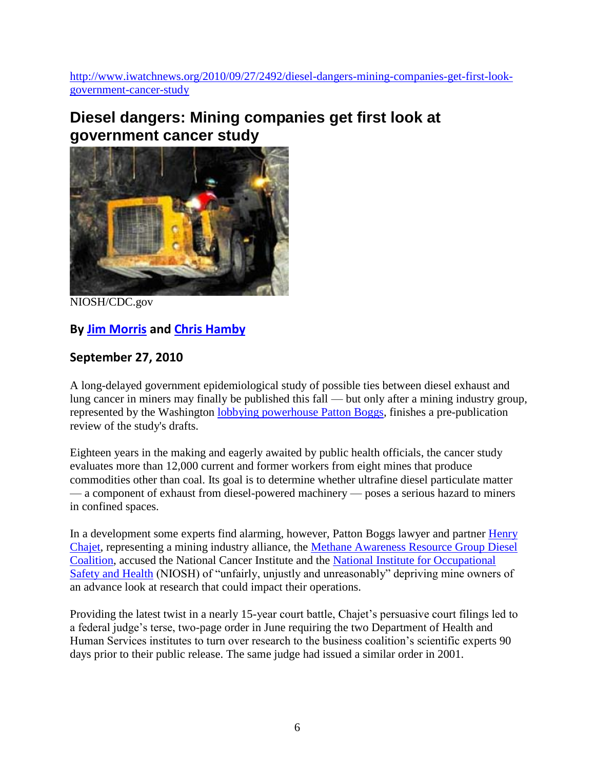[http://www.iwatchnews.org/2010/09/27/2492/diesel-dangers-mining-companies-get-first-look](http://www.iwatchnews.org/2010/09/27/2492/diesel-dangers-mining-companies-get-first-look-government-cancer-study)[government-cancer-study](http://www.iwatchnews.org/2010/09/27/2492/diesel-dangers-mining-companies-get-first-look-government-cancer-study)

# **Diesel dangers: Mining companies get first look at government cancer study**



NIOSH/CDC.gov

# **By [Jim Morris](http://www.iwatchnews.org/authors/jim-morris) and [Chris Hamby](http://www.iwatchnews.org/authors/chris-hamby)**

## **September 27, 2010**

A long-delayed government epidemiological study of possible ties between diesel exhaust and lung cancer in miners may finally be published this fall — but only after a mining industry group, represented by the Washington [lobbying powerhouse Patton Boggs,](http://www.sourcewatch.org/index.php?title=Patton_Boggs) finishes a pre-publication review of the study's drafts.

Eighteen years in the making and eagerly awaited by public health officials, the cancer study evaluates more than 12,000 current and former workers from eight mines that produce commodities other than coal. Its goal is to determine whether ultrafine diesel particulate matter — a component of exhaust from diesel-powered machinery — poses a serious hazard to miners in confined spaces.

In a development some experts find alarming, however, Patton Boggs lawyer and partner Henry [Chajet,](http://www.pattonboggs.com/hchajet/) representing a mining industry alliance, the [Methane Awareness Resource Group Diesel](http://www.opensecrets.org/lobby/clientsum.php?lname=Methane+Awareness+Resources+Group&year=2002)  [Coalition,](http://www.opensecrets.org/lobby/clientsum.php?lname=Methane+Awareness+Resources+Group&year=2002) accused the National Cancer Institute and the [National Institute for Occupational](http://www.cdc.gov/niosh/)  [Safety and Health](http://www.cdc.gov/niosh/) (NIOSH) of "unfairly, unjustly and unreasonably" depriving mine owners of an advance look at research that could impact their operations.

Providing the latest twist in a nearly 15-year court battle, Chajet's persuasive court filings led to a federal judge's terse, two-page order in June requiring the two Department of Health and Human Services institutes to turn over research to the business coalition's scientific experts 90 days prior to their public release. The same judge had issued a similar order in 2001.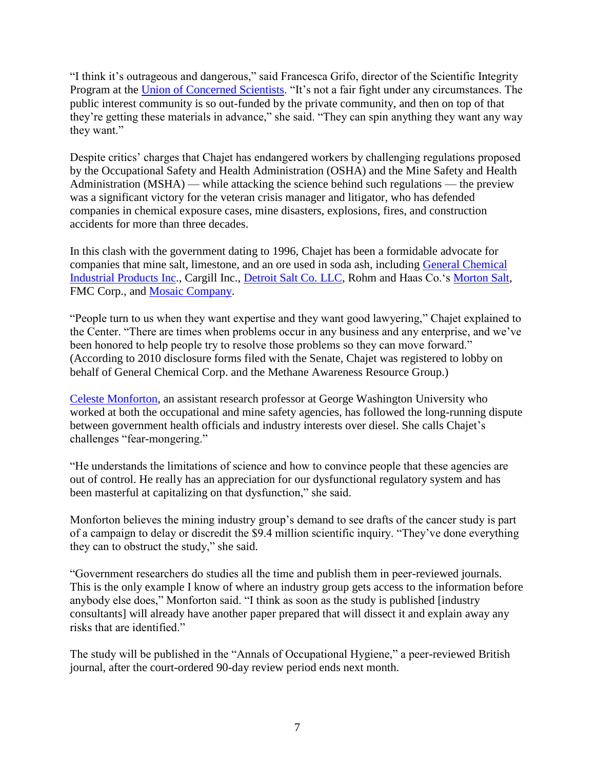"I think it's outrageous and dangerous," said Francesca Grifo, director of the Scientific Integrity Program at the [Union of Concerned Scientists.](http://www.ucsusa.org/scientific_integrity/) "It's not a fair fight under any circumstances. The public interest community is so out-funded by the private community, and then on top of that they're getting these materials in advance," she said. "They can spin anything they want any way they want."

Despite critics' charges that Chajet has endangered workers by challenging regulations proposed by the Occupational Safety and Health Administration (OSHA) and the Mine Safety and Health Administration (MSHA) — while attacking the science behind such regulations — the preview was a significant victory for the veteran crisis manager and litigator, who has defended companies in chemical exposure cases, mine disasters, explosions, fires, and construction accidents for more than three decades.

In this clash with the government dating to 1996, Chajet has been a formidable advocate for companies that mine salt, limestone, and an ore used in soda ash, including [General Chemical](http://www.genchem.com/)  [Industrial Products Inc.](http://www.genchem.com/), Cargill Inc., [Detroit Salt Co. LLC,](http://www.detroitsalt.com/about.htm) Rohm and Haas Co.'s [Morton Salt,](http://www.mortonsalt.com/) FMC Corp., and [Mosaic Company.](http://www.mosaicco.com/about.htm)

"People turn to us when they want expertise and they want good lawyering," Chajet explained to the Center. "There are times when problems occur in any business and any enterprise, and we've been honored to help people try to resolve those problems so they can move forward." (According to 2010 disclosure forms filed with the Senate, Chajet was registered to lobby on behalf of General Chemical Corp. and the Methane Awareness Resource Group.)

[Celeste Monforton,](http://ajph.aphapublications.org/cgi/content/full/96/2/271) an assistant research professor at George Washington University who worked at both the occupational and mine safety agencies, has followed the long-running dispute between government health officials and industry interests over diesel. She calls Chajet's challenges "fear-mongering."

"He understands the limitations of science and how to convince people that these agencies are out of control. He really has an appreciation for our dysfunctional regulatory system and has been masterful at capitalizing on that dysfunction," she said.

Monforton believes the mining industry group's demand to see drafts of the cancer study is part of a campaign to delay or discredit the \$9.4 million scientific inquiry. "They've done everything they can to obstruct the study," she said.

"Government researchers do studies all the time and publish them in peer-reviewed journals. This is the only example I know of where an industry group gets access to the information before anybody else does," Monforton said. "I think as soon as the study is published [industry consultants] will already have another paper prepared that will dissect it and explain away any risks that are identified."

The study will be published in the "Annals of Occupational Hygiene," a peer-reviewed British journal, after the court-ordered 90-day review period ends next month.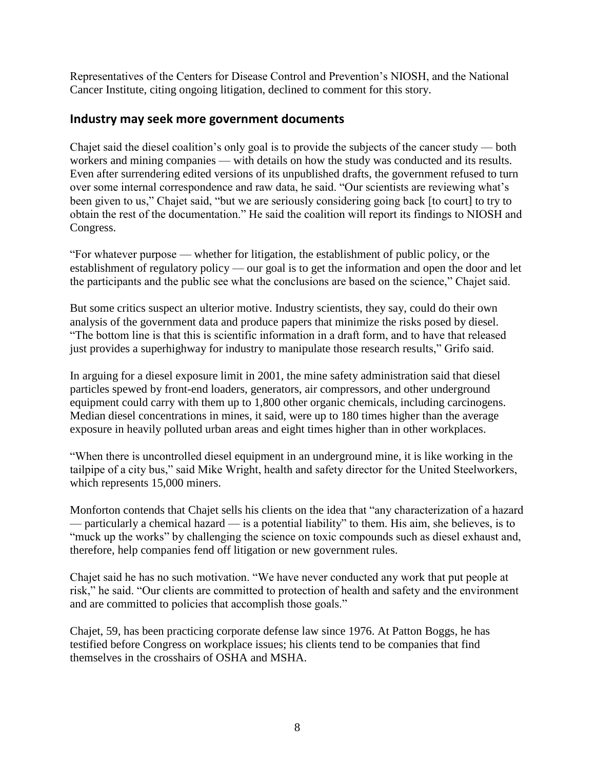Representatives of the Centers for Disease Control and Prevention's NIOSH, and the National Cancer Institute, citing ongoing litigation, declined to comment for this story.

#### **Industry may seek more government documents**

Chajet said the diesel coalition's only goal is to provide the subjects of the cancer study — both workers and mining companies — with details on how the study was conducted and its results. Even after surrendering edited versions of its unpublished drafts, the government refused to turn over some internal correspondence and raw data, he said. "Our scientists are reviewing what's been given to us," Chajet said, "but we are seriously considering going back [to court] to try to obtain the rest of the documentation." He said the coalition will report its findings to NIOSH and Congress.

"For whatever purpose — whether for litigation, the establishment of public policy, or the establishment of regulatory policy — our goal is to get the information and open the door and let the participants and the public see what the conclusions are based on the science," Chajet said.

But some critics suspect an ulterior motive. Industry scientists, they say, could do their own analysis of the government data and produce papers that minimize the risks posed by diesel. "The bottom line is that this is scientific information in a draft form, and to have that released just provides a superhighway for industry to manipulate those research results," Grifo said.

In arguing for a diesel exposure limit in 2001, the mine safety administration said that diesel particles spewed by front-end loaders, generators, air compressors, and other underground equipment could carry with them up to 1,800 other organic chemicals, including carcinogens. Median diesel concentrations in mines, it said, were up to 180 times higher than the average exposure in heavily polluted urban areas and eight times higher than in other workplaces.

"When there is uncontrolled diesel equipment in an underground mine, it is like working in the tailpipe of a city bus," said Mike Wright, health and safety director for the United Steelworkers, which represents 15,000 miners.

Monforton contends that Chajet sells his clients on the idea that "any characterization of a hazard — particularly a chemical hazard — is a potential liability" to them. His aim, she believes, is to "muck up the works" by challenging the science on toxic compounds such as diesel exhaust and, therefore, help companies fend off litigation or new government rules.

Chajet said he has no such motivation. "We have never conducted any work that put people at risk," he said. "Our clients are committed to protection of health and safety and the environment and are committed to policies that accomplish those goals."

Chajet, 59, has been practicing corporate defense law since 1976. At Patton Boggs, he has testified before Congress on workplace issues; his clients tend to be companies that find themselves in the crosshairs of OSHA and MSHA.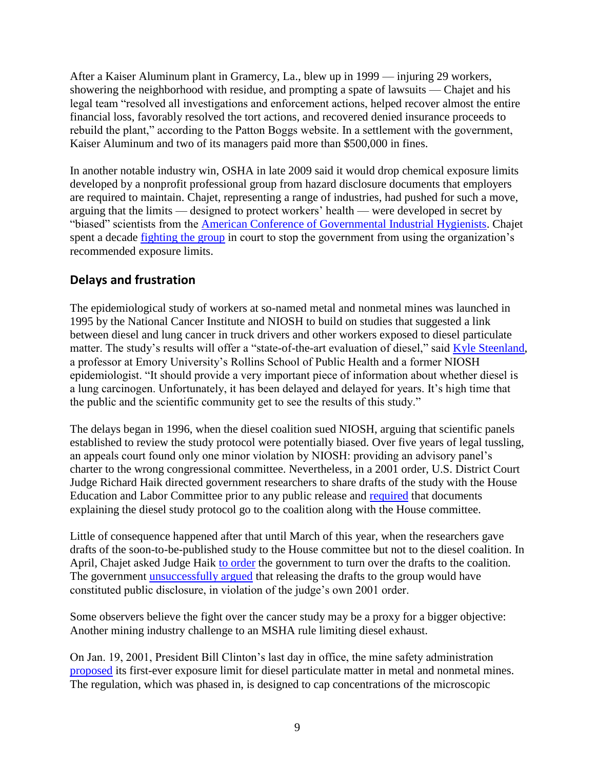After a Kaiser Aluminum plant in Gramercy, La., blew up in 1999 — injuring 29 workers, showering the neighborhood with residue, and prompting a spate of lawsuits — Chajet and his legal team "resolved all investigations and enforcement actions, helped recover almost the entire financial loss, favorably resolved the tort actions, and recovered denied insurance proceeds to rebuild the plant," according to the Patton Boggs website. In a settlement with the government, Kaiser Aluminum and two of its managers paid more than \$500,000 in fines.

In another notable industry win, OSHA in late 2009 said it would drop chemical exposure limits developed by a nonprofit professional group from hazard disclosure documents that employers are required to maintain. Chajet, representing a range of industries, had pushed for such a move, arguing that the limits — designed to protect workers' health — were developed in secret by "biased" scientists from the [American Conference of Governmental Industrial Hygienists.](http://www.acgih.org/about/) Chajet spent a decade [fighting the group](http://www.fdrsafety.com/ExposureLimits10-27-09.pdf) in court to stop the government from using the organization's recommended exposure limits.

### **Delays and frustration**

The epidemiological study of workers at so-named metal and nonmetal mines was launched in 1995 by the National Cancer Institute and NIOSH to build on studies that suggested a link between diesel and lung cancer in truck drivers and other workers exposed to diesel particulate matter. The study's results will offer a "state-of-the-art evaluation of diesel," said [Kyle Steenland,](http://www.c8sciencepanel.org/members.html#kyle) a professor at Emory University's Rollins School of Public Health and a former NIOSH epidemiologist. "It should provide a very important piece of information about whether diesel is a lung carcinogen. Unfortunately, it has been delayed and delayed for years. It's high time that the public and the scientific community get to see the results of this study."

The delays began in 1996, when the diesel coalition sued NIOSH, arguing that scientific panels established to review the study protocol were potentially biased. Over five years of legal tussling, an appeals court found only one minor violation by NIOSH: providing an advisory panel's charter to the wrong congressional committee. Nevertheless, in a 2001 order, U.S. District Court Judge Richard Haik directed government researchers to share drafts of the study with the House Education and Labor Committee prior to any public release and [required](http://www.documentcloud.org/documents/9024-final-order-haik-june-5-2001.html) that documents explaining the diesel study protocol go to the coalition along with the House committee.

Little of consequence happened after that until March of this year, when the researchers gave drafts of the soon-to-be-published study to the House committee but not to the diesel coalition. In April, Chajet asked Judge Haik [to order](http://www.documentcloud.org/documents/9025-motion-marg-april-9-2010.html) the government to turn over the drafts to the coalition. The government [unsuccessfully argued](http://www.documentcloud.org/documents/9023-opposition-us-june-3-2010.html) that releasing the drafts to the group would have constituted public disclosure, in violation of the judge's own 2001 order.

Some observers believe the fight over the cancer study may be a proxy for a bigger objective: Another mining industry challenge to an MSHA rule limiting diesel exhaust.

On Jan. 19, 2001, President Bill Clinton's last day in office, the mine safety administration [proposed](http://www.msha.gov/REGS/FEDREG/FINAL/2001FINL/01-996.pdf) its first-ever exposure limit for diesel particulate matter in metal and nonmetal mines. The regulation, which was phased in, is designed to cap concentrations of the microscopic